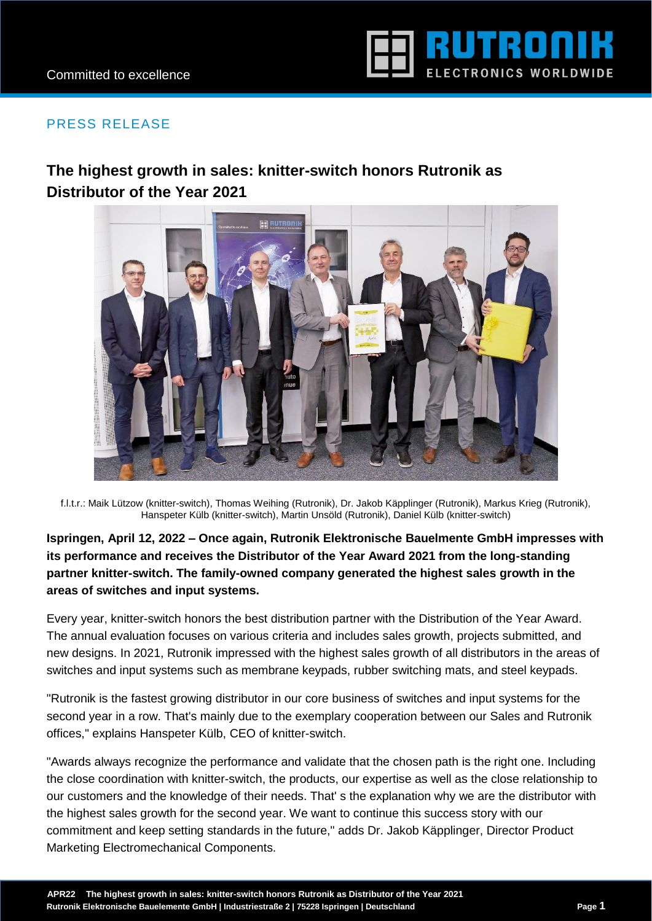

## PRESS RELEASE

# **The highest growth in sales: knitter-switch honors Rutronik as Distributor of the Year 2021**



f.l.t.r.: Maik Lützow (knitter-switch), Thomas Weihing (Rutronik), Dr. Jakob Käpplinger (Rutronik), Markus Krieg (Rutronik), Hanspeter Külb (knitter-switch), Martin Unsöld (Rutronik), Daniel Külb (knitter-switch)

**Ispringen, April 12, 2022 – Once again, Rutronik Elektronische Bauelmente GmbH impresses with its performance and receives the Distributor of the Year Award 2021 from the long-standing partner knitter-switch. The family-owned company generated the highest sales growth in the areas of switches and input systems.**

Every year, knitter-switch honors the best distribution partner with the Distribution of the Year Award. The annual evaluation focuses on various criteria and includes sales growth, projects submitted, and new designs. In 2021, Rutronik impressed with the highest sales growth of all distributors in the areas of switches and input systems such as membrane keypads, rubber switching mats, and steel keypads.

"Rutronik is the fastest growing distributor in our core business of switches and input systems for the second year in a row. That's mainly due to the exemplary cooperation between our Sales and Rutronik offices," explains Hanspeter Külb, CEO of knitter-switch.

"Awards always recognize the performance and validate that the chosen path is the right one. Including the close coordination with knitter-switch, the products, our expertise as well as the close relationship to our customers and the knowledge of their needs. That' s the explanation why we are the distributor with the highest sales growth for the second year. We want to continue this success story with our commitment and keep setting standards in the future," adds Dr. Jakob Käpplinger, Director Product Marketing Electromechanical Components.